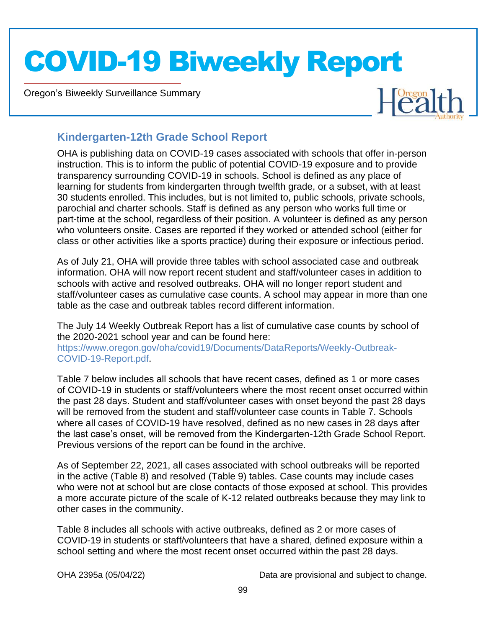Oregon's Biweekly Surveillance Summary

Novel Coronavirus (COVID-19)



### **Kindergarten-12th Grade School Report**

OHA is publishing data on COVID-19 cases associated with schools that offer in-person instruction. This is to inform the public of potential COVID-19 exposure and to provide transparency surrounding COVID-19 in schools. School is defined as any place of learning for students from kindergarten through twelfth grade, or a subset, with at least 30 students enrolled. This includes, but is not limited to, public schools, private schools, parochial and charter schools. Staff is defined as any person who works full time or part-time at the school, regardless of their position. A volunteer is defined as any person who volunteers onsite. Cases are reported if they worked or attended school (either for class or other activities like a sports practice) during their exposure or infectious period.

As of July 21, OHA will provide three tables with school associated case and outbreak information. OHA will now report recent student and staff/volunteer cases in addition to schools with active and resolved outbreaks. OHA will no longer report student and staff/volunteer cases as cumulative case counts. A school may appear in more than one table as the case and outbreak tables record different information.

The July 14 Weekly Outbreak Report has a list of cumulative case counts by school of the 2020-2021 school year and can be found here:

https://www.oregon.gov/oha/covid19/Documents/DataReports/Weekly-Outbreak-COVID-19-Report.pdf.

Table 7 below includes all schools that have recent cases, defined as 1 or more cases of COVID-19 in students or staff/volunteers where the most recent onset occurred within the past 28 days. Student and staff/volunteer cases with onset beyond the past 28 days will be removed from the student and staff/volunteer case counts in Table 7. Schools where all cases of COVID-19 have resolved, defined as no new cases in 28 days after the last case's onset, will be removed from the Kindergarten-12th Grade School Report. Previous versions of the report can be found in the archive.

As of September 22, 2021, all cases associated with school outbreaks will be reported in the active (Table 8) and resolved (Table 9) tables. Case counts may include cases who were not at school but are close contacts of those exposed at school. This provides a more accurate picture of the scale of K-12 related outbreaks because they may link to other cases in the community.

Table 8 includes all schools with active outbreaks, defined as 2 or more cases of COVID-19 in students or staff/volunteers that have a shared, defined exposure within a school setting and where the most recent onset occurred within the past 28 days.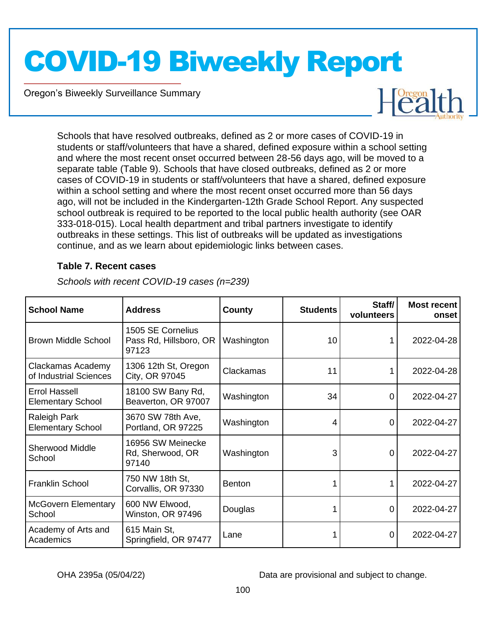Oregon's Biweekly Surveillance Summary

Novel Coronavirus (COVID-19)



Schools that have resolved outbreaks, defined as 2 or more cases of COVID-19 in students or staff/volunteers that have a shared, defined exposure within a school setting and where the most recent onset occurred between 28-56 days ago, will be moved to a separate table (Table 9). Schools that have closed outbreaks, defined as 2 or more cases of COVID-19 in students or staff/volunteers that have a shared, defined exposure within a school setting and where the most recent onset occurred more than 56 days ago, will not be included in the Kindergarten-12th Grade School Report. Any suspected school outbreak is required to be reported to the local public health authority (see OAR 333-018-015). Local health department and tribal partners investigate to identify outbreaks in these settings. This list of outbreaks will be updated as investigations continue, and as we learn about epidemiologic links between cases.

#### **Table 7. Recent cases**

| <b>School Name</b>                               | <b>Address</b>                                       | County        | <b>Students</b> | Staff/<br>volunteers | <b>Most recent</b><br>onset |
|--------------------------------------------------|------------------------------------------------------|---------------|-----------------|----------------------|-----------------------------|
| <b>Brown Middle School</b>                       | 1505 SE Cornelius<br>Pass Rd, Hillsboro, OR<br>97123 | Washington    | 10              |                      | 2022-04-28                  |
| Clackamas Academy<br>of Industrial Sciences      | 1306 12th St, Oregon<br>City, OR 97045               | Clackamas     | 11              |                      | 2022-04-28                  |
| <b>Errol Hassell</b><br><b>Elementary School</b> | 18100 SW Bany Rd,<br>Beaverton, OR 97007             | Washington    | 34              | 0                    | 2022-04-27                  |
| Raleigh Park<br><b>Elementary School</b>         | 3670 SW 78th Ave,<br>Portland, OR 97225              | Washington    | 4               | 0                    | 2022-04-27                  |
| <b>Sherwood Middle</b><br>School                 | 16956 SW Meinecke<br>Rd, Sherwood, OR<br>97140       | Washington    | 3               | 0                    | 2022-04-27                  |
| <b>Franklin School</b>                           | 750 NW 18th St,<br>Corvallis, OR 97330               | <b>Benton</b> |                 |                      | 2022-04-27                  |
| <b>McGovern Elementary</b><br>School             | 600 NW Elwood,<br>Winston, OR 97496                  | Douglas       |                 | 0                    | 2022-04-27                  |
| Academy of Arts and<br>Academics                 | 615 Main St,<br>Springfield, OR 97477                | Lane          |                 | 0                    | 2022-04-27                  |

*Schools with recent COVID-19 cases (n=239)*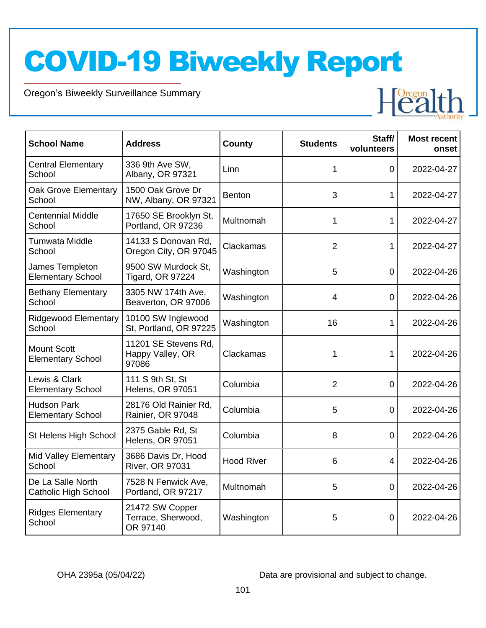Oregon's Biweekly Surveillance Summary

Novel Coronavirus (COVID-19)

| <b>School Name</b>                               | <b>Address</b>                                    | County            | <b>Students</b> | Staff/<br>volunteers | <b>Most recent</b><br>onset |
|--------------------------------------------------|---------------------------------------------------|-------------------|-----------------|----------------------|-----------------------------|
| <b>Central Elementary</b><br>School              | 336 9th Ave SW,<br>Albany, OR 97321               | Linn              | 1               | 0                    | 2022-04-27                  |
| Oak Grove Elementary<br>School                   | 1500 Oak Grove Dr<br>NW, Albany, OR 97321         | <b>Benton</b>     | 3               | 1                    | 2022-04-27                  |
| <b>Centennial Middle</b><br>School               | 17650 SE Brooklyn St,<br>Portland, OR 97236       | Multnomah         | 1               | 1                    | 2022-04-27                  |
| <b>Tumwata Middle</b><br>School                  | 14133 S Donovan Rd,<br>Oregon City, OR 97045      | Clackamas         | 2               | 1                    | 2022-04-27                  |
| James Templeton<br><b>Elementary School</b>      | 9500 SW Murdock St.<br>Tigard, OR 97224           | Washington        | 5               | $\overline{0}$       | 2022-04-26                  |
| <b>Bethany Elementary</b><br>School              | 3305 NW 174th Ave,<br>Beaverton, OR 97006         | Washington        | 4               | 0                    | 2022-04-26                  |
| <b>Ridgewood Elementary</b><br>School            | 10100 SW Inglewood<br>St, Portland, OR 97225      | Washington        | 16              | 1                    | 2022-04-26                  |
| <b>Mount Scott</b><br><b>Elementary School</b>   | 11201 SE Stevens Rd.<br>Happy Valley, OR<br>97086 | Clackamas         | 1               | 1                    | 2022-04-26                  |
| Lewis & Clark<br><b>Elementary School</b>        | 111 S 9th St, St<br><b>Helens, OR 97051</b>       | Columbia          | 2               | 0                    | 2022-04-26                  |
| <b>Hudson Park</b><br><b>Elementary School</b>   | 28176 Old Rainier Rd,<br>Rainier, OR 97048        | Columbia          | 5               | $\overline{0}$       | 2022-04-26                  |
| St Helens High School                            | 2375 Gable Rd, St<br><b>Helens, OR 97051</b>      | Columbia          | 8               | 0                    | 2022-04-26                  |
| Mid Valley Elementary<br>School                  | 3686 Davis Dr, Hood<br><b>River, OR 97031</b>     | <b>Hood River</b> | 6               | 4                    | 2022-04-26                  |
| De La Salle North<br><b>Catholic High School</b> | 7528 N Fenwick Ave,<br>Portland, OR 97217         | Multnomah         | 5               | 0                    | 2022-04-26                  |
| <b>Ridges Elementary</b><br>School               | 21472 SW Copper<br>Terrace, Sherwood,<br>OR 97140 | Washington        | 5               | 0                    | 2022-04-26                  |

OHA 2395a (05/04/22) Data are provisional and subject to change.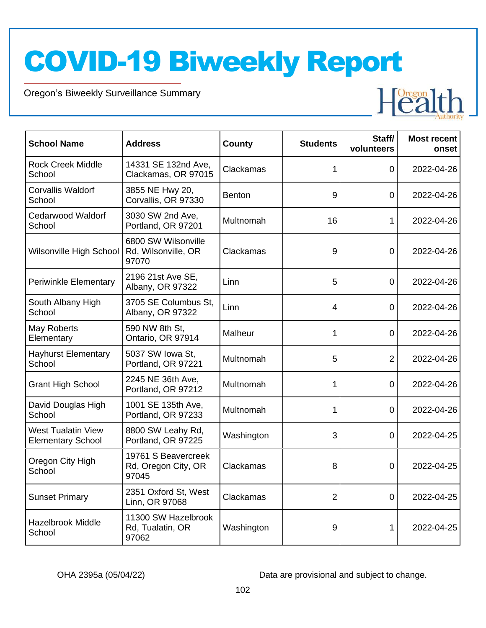Oregon's Biweekly Surveillance Summary

Novel Coronavirus (COVID-19)



| <b>School Name</b>                                    | <b>Address</b>                                      | <b>County</b> | <b>Students</b> | Staff/<br>volunteers | <b>Most recent</b><br>onset |
|-------------------------------------------------------|-----------------------------------------------------|---------------|-----------------|----------------------|-----------------------------|
| <b>Rock Creek Middle</b><br>School                    | 14331 SE 132nd Ave,<br>Clackamas, OR 97015          | Clackamas     | 1               | 0                    | 2022-04-26                  |
| <b>Corvallis Waldorf</b><br>School                    | 3855 NE Hwy 20,<br>Corvallis, OR 97330              | <b>Benton</b> | 9               | 0                    | 2022-04-26                  |
| <b>Cedarwood Waldorf</b><br>School                    | 3030 SW 2nd Ave,<br>Portland, OR 97201              | Multnomah     | 16              | 1                    | 2022-04-26                  |
| Wilsonville High School                               | 6800 SW Wilsonville<br>Rd, Wilsonville, OR<br>97070 | Clackamas     | 9               | $\Omega$             | 2022-04-26                  |
| <b>Periwinkle Elementary</b>                          | 2196 21st Ave SE,<br>Albany, OR 97322               | Linn          | 5               | 0                    | 2022-04-26                  |
| South Albany High<br>School                           | 3705 SE Columbus St.<br>Albany, OR 97322            | Linn          | 4               | 0                    | 2022-04-26                  |
| May Roberts<br>Elementary                             | 590 NW 8th St,<br>Ontario, OR 97914                 | Malheur       |                 | $\Omega$             | 2022-04-26                  |
| <b>Hayhurst Elementary</b><br>School                  | 5037 SW Iowa St,<br>Portland, OR 97221              | Multnomah     | 5               | $\overline{2}$       | 2022-04-26                  |
| <b>Grant High School</b>                              | 2245 NE 36th Ave,<br>Portland, OR 97212             | Multnomah     | 1               | $\overline{0}$       | 2022-04-26                  |
| David Douglas High<br>School                          | 1001 SE 135th Ave,<br>Portland, OR 97233            | Multnomah     | 1               | 0                    | 2022-04-26                  |
| <b>West Tualatin View</b><br><b>Elementary School</b> | 8800 SW Leahy Rd,<br>Portland, OR 97225             | Washington    | 3               | 0                    | 2022-04-25                  |
| Oregon City High<br>School                            | 19761 S Beavercreek<br>Rd, Oregon City, OR<br>97045 | Clackamas     | 8               | 0                    | 2022-04-25                  |
| <b>Sunset Primary</b>                                 | 2351 Oxford St, West<br>Linn, OR 97068              | Clackamas     | 2               | $\mathbf 0$          | 2022-04-25                  |
| <b>Hazelbrook Middle</b><br>School                    | 11300 SW Hazelbrook<br>Rd, Tualatin, OR<br>97062    | Washington    | 9               | 1                    | 2022-04-25                  |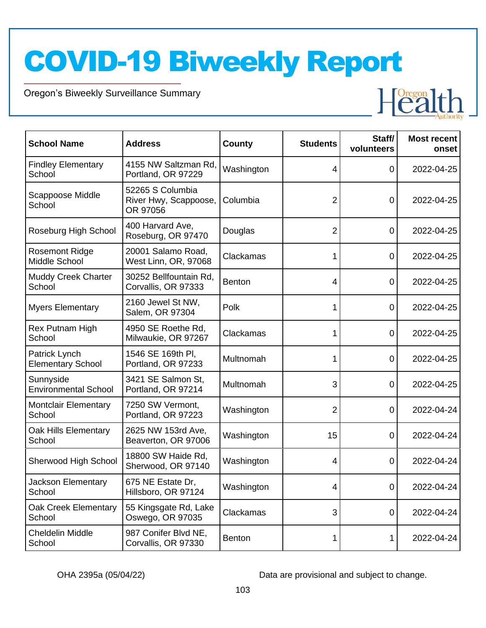Oregon's Biweekly Surveillance Summary

Novel Coronavirus (COVID-19)



| <b>School Name</b>                        | <b>Address</b>                                        | <b>County</b> | <b>Students</b> | Staff/<br>volunteers | <b>Most recent</b><br>onset |
|-------------------------------------------|-------------------------------------------------------|---------------|-----------------|----------------------|-----------------------------|
| <b>Findley Elementary</b><br>School       | 4155 NW Saltzman Rd,<br>Portland, OR 97229            | Washington    | 4               | 0                    | 2022-04-25                  |
| Scappoose Middle<br>School                | 52265 S Columbia<br>River Hwy, Scappoose,<br>OR 97056 | Columbia      | 2               | 0                    | 2022-04-25                  |
| Roseburg High School                      | 400 Harvard Ave.<br>Roseburg, OR 97470                | Douglas       | 2               | 0                    | 2022-04-25                  |
| <b>Rosemont Ridge</b><br>Middle School    | 20001 Salamo Road,<br>West Linn, OR, 97068            | Clackamas     | 1               | 0                    | 2022-04-25                  |
| <b>Muddy Creek Charter</b><br>School      | 30252 Bellfountain Rd,<br>Corvallis, OR 97333         | <b>Benton</b> | 4               | 0                    | 2022-04-25                  |
| <b>Myers Elementary</b>                   | 2160 Jewel St NW,<br>Salem, OR 97304                  | Polk          | 1               | 0                    | 2022-04-25                  |
| Rex Putnam High<br>School                 | 4950 SE Roethe Rd,<br>Milwaukie, OR 97267             | Clackamas     |                 | 0                    | 2022-04-25                  |
| Patrick Lynch<br><b>Elementary School</b> | 1546 SE 169th PI.<br>Portland, OR 97233               | Multnomah     | 1               | 0                    | 2022-04-25                  |
| Sunnyside<br><b>Environmental School</b>  | 3421 SE Salmon St,<br>Portland, OR 97214              | Multnomah     | 3               | $\mathbf 0$          | 2022-04-25                  |
| <b>Montclair Elementary</b><br>School     | 7250 SW Vermont,<br>Portland, OR 97223                | Washington    | 2               | 0                    | 2022-04-24                  |
| Oak Hills Elementary<br>School            | 2625 NW 153rd Ave,<br>Beaverton, OR 97006             | Washington    | 15              | $\mathbf 0$          | 2022-04-24                  |
| Sherwood High School                      | 18800 SW Haide Rd,<br>Sherwood, OR 97140              | Washington    | 4               | 0                    | 2022-04-24                  |
| Jackson Elementary<br>School              | 675 NE Estate Dr,<br>Hillsboro, OR 97124              | Washington    | 4               | $\overline{0}$       | 2022-04-24                  |
| <b>Oak Creek Elementary</b><br>School     | 55 Kingsgate Rd, Lake<br>Oswego, OR 97035             | Clackamas     | 3               | $\mathbf 0$          | 2022-04-24                  |
| Cheldelin Middle<br>School                | 987 Conifer Blvd NE,<br>Corvallis, OR 97330           | <b>Benton</b> |                 |                      | 2022-04-24                  |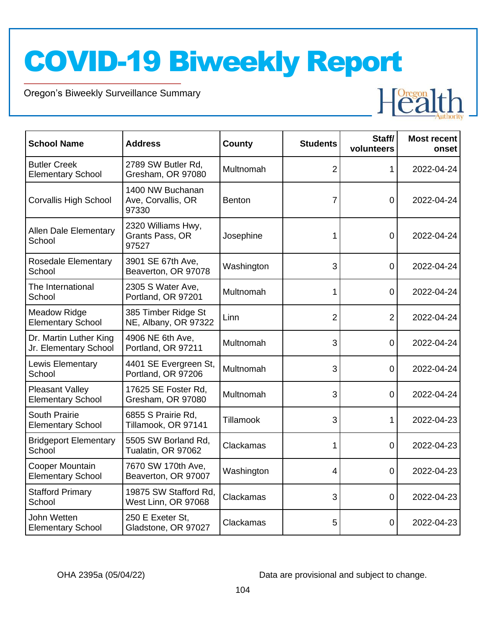Oregon's Biweekly Surveillance Summary

Novel Coronavirus (COVID-19)



| <b>School Name</b>                                 | <b>Address</b>                                  | County        | <b>Students</b> | Staff/<br>volunteers | <b>Most recent</b><br>onset |
|----------------------------------------------------|-------------------------------------------------|---------------|-----------------|----------------------|-----------------------------|
| <b>Butler Creek</b><br><b>Elementary School</b>    | 2789 SW Butler Rd,<br>Gresham, OR 97080         | Multnomah     | $\overline{2}$  | 1                    | 2022-04-24                  |
| <b>Corvallis High School</b>                       | 1400 NW Buchanan<br>Ave, Corvallis, OR<br>97330 | <b>Benton</b> | 7               | 0                    | 2022-04-24                  |
| <b>Allen Dale Elementary</b><br>School             | 2320 Williams Hwy,<br>Grants Pass, OR<br>97527  | Josephine     | 1               | 0                    | 2022-04-24                  |
| <b>Rosedale Elementary</b><br>School               | 3901 SE 67th Ave,<br>Beaverton, OR 97078        | Washington    | 3               | 0                    | 2022-04-24                  |
| The International<br>School                        | 2305 S Water Ave,<br>Portland, OR 97201         | Multnomah     | 1               | $\overline{0}$       | 2022-04-24                  |
| <b>Meadow Ridge</b><br><b>Elementary School</b>    | 385 Timber Ridge St<br>NE, Albany, OR 97322     | Linn          | $\overline{2}$  | $\overline{2}$       | 2022-04-24                  |
| Dr. Martin Luther King<br>Jr. Elementary School    | 4906 NE 6th Ave,<br>Portland, OR 97211          | Multnomah     | 3               | $\overline{0}$       | 2022-04-24                  |
| Lewis Elementary<br>School                         | 4401 SE Evergreen St,<br>Portland, OR 97206     | Multnomah     | 3               | $\mathbf 0$          | 2022-04-24                  |
| <b>Pleasant Valley</b><br><b>Elementary School</b> | 17625 SE Foster Rd,<br>Gresham, OR 97080        | Multnomah     | 3               | $\Omega$             | 2022-04-24                  |
| South Prairie<br><b>Elementary School</b>          | 6855 S Prairie Rd,<br>Tillamook, OR 97141       | Tillamook     | 3               | 1                    | 2022-04-23                  |
| <b>Bridgeport Elementary</b><br>School             | 5505 SW Borland Rd,<br>Tualatin, OR 97062       | Clackamas     | 1               | $\mathbf 0$          | 2022-04-23                  |
| Cooper Mountain<br><b>Elementary School</b>        | 7670 SW 170th Ave,<br>Beaverton, OR 97007       | Washington    | 4               | 0                    | 2022-04-23                  |
| <b>Stafford Primary</b><br>School                  | 19875 SW Stafford Rd.<br>West Linn, OR 97068    | Clackamas     | 3               | $\mathbf 0$          | 2022-04-23                  |
| John Wetten<br><b>Elementary School</b>            | 250 E Exeter St,<br>Gladstone, OR 97027         | Clackamas     | 5               | 0                    | 2022-04-23                  |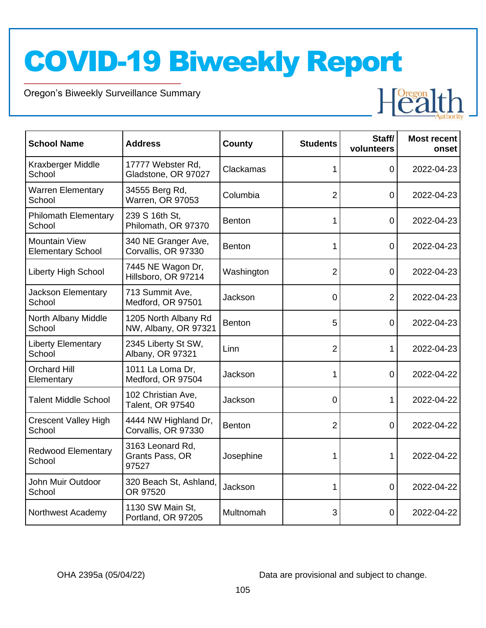Oregon's Biweekly Surveillance Summary

Novel Coronavirus (COVID-19)

| <b>School Name</b>                               | <b>Address</b>                               | County        | <b>Students</b> | Staff/<br>volunteers | <b>Most recent</b><br>onset |
|--------------------------------------------------|----------------------------------------------|---------------|-----------------|----------------------|-----------------------------|
| Kraxberger Middle<br>School                      | 17777 Webster Rd,<br>Gladstone, OR 97027     | Clackamas     | 1               | 0                    | 2022-04-23                  |
| <b>Warren Elementary</b><br>School               | 34555 Berg Rd,<br>Warren, OR 97053           | Columbia      | $\overline{2}$  | 0                    | 2022-04-23                  |
| <b>Philomath Elementary</b><br>School            | 239 S 16th St,<br>Philomath, OR 97370        | <b>Benton</b> | 1               | 0                    | 2022-04-23                  |
| <b>Mountain View</b><br><b>Elementary School</b> | 340 NE Granger Ave,<br>Corvallis, OR 97330   | <b>Benton</b> | 1               | 0                    | 2022-04-23                  |
| <b>Liberty High School</b>                       | 7445 NE Wagon Dr,<br>Hillsboro, OR 97214     | Washington    | 2               | 0                    | 2022-04-23                  |
| <b>Jackson Elementary</b><br>School              | 713 Summit Ave,<br>Medford, OR 97501         | Jackson       | 0               | $\overline{2}$       | 2022-04-23                  |
| North Albany Middle<br>School                    | 1205 North Albany Rd<br>NW, Albany, OR 97321 | <b>Benton</b> | 5               | 0                    | 2022-04-23                  |
| <b>Liberty Elementary</b><br>School              | 2345 Liberty St SW,<br>Albany, OR 97321      | Linn          | $\overline{2}$  | 1                    | 2022-04-23                  |
| <b>Orchard Hill</b><br>Elementary                | 1011 La Loma Dr,<br>Medford, OR 97504        | Jackson       | 1               | 0                    | 2022-04-22                  |
| <b>Talent Middle School</b>                      | 102 Christian Ave,<br>Talent, OR 97540       | Jackson       | 0               | 1                    | 2022-04-22                  |
| <b>Crescent Valley High</b><br>School            | 4444 NW Highland Dr,<br>Corvallis, OR 97330  | <b>Benton</b> | $\overline{2}$  | 0                    | 2022-04-22                  |
| <b>Redwood Elementary</b><br>School              | 3163 Leonard Rd,<br>Grants Pass, OR<br>97527 | Josephine     | 1               | 1                    | 2022-04-22                  |
| John Muir Outdoor<br>School                      | 320 Beach St, Ashland,<br>OR 97520           | Jackson       | 1               | 0                    | 2022-04-22                  |
| Northwest Academy                                | 1130 SW Main St,<br>Portland, OR 97205       | Multnomah     | 3               | 0                    | 2022-04-22                  |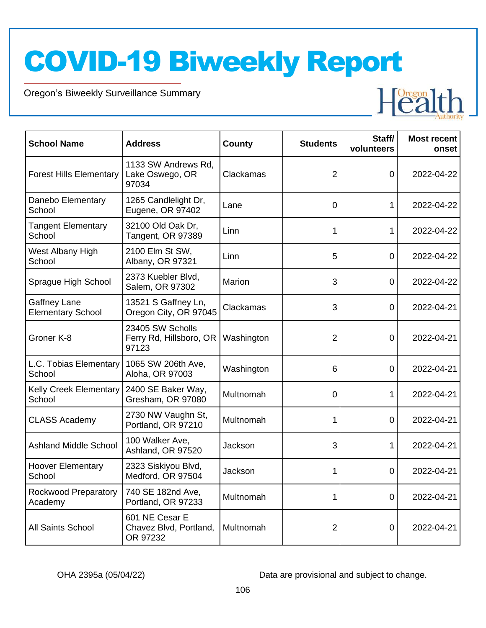Oregon's Biweekly Surveillance Summary

Novel Coronavirus (COVID-19)



| <b>School Name</b>                              | <b>Address</b>                                       | County     | <b>Students</b> | Staff/<br>volunteers | <b>Most recent</b><br>onset |
|-------------------------------------------------|------------------------------------------------------|------------|-----------------|----------------------|-----------------------------|
| <b>Forest Hills Elementary</b>                  | 1133 SW Andrews Rd.<br>Lake Oswego, OR<br>97034      | Clackamas  | 2               | 0                    | 2022-04-22                  |
| Danebo Elementary<br>School                     | 1265 Candlelight Dr,<br>Eugene, OR 97402             | Lane       | 0               |                      | 2022-04-22                  |
| <b>Tangent Elementary</b><br>School             | 32100 Old Oak Dr,<br>Tangent, OR 97389               | Linn       | 1               | 1                    | 2022-04-22                  |
| West Albany High<br>School                      | 2100 Elm St SW,<br>Albany, OR 97321                  | Linn       | 5               | 0                    | 2022-04-22                  |
| Sprague High School                             | 2373 Kuebler Blvd,<br>Salem, OR 97302                | Marion     | 3               | 0                    | 2022-04-22                  |
| <b>Gaffney Lane</b><br><b>Elementary School</b> | 13521 S Gaffney Ln,<br>Oregon City, OR 97045         | Clackamas  | 3               | 0                    | 2022-04-21                  |
| Groner K-8                                      | 23405 SW Scholls<br>Ferry Rd, Hillsboro, OR<br>97123 | Washington | $\overline{2}$  | 0                    | 2022-04-21                  |
| L.C. Tobias Elementary<br>School                | 1065 SW 206th Ave,<br>Aloha, OR 97003                | Washington | 6               | 0                    | 2022-04-21                  |
| <b>Kelly Creek Elementary</b><br>School         | 2400 SE Baker Way,<br>Gresham, OR 97080              | Multnomah  | 0               | 1                    | 2022-04-21                  |
| <b>CLASS Academy</b>                            | 2730 NW Vaughn St,<br>Portland, OR 97210             | Multnomah  | 1               | $\Omega$             | 2022-04-21                  |
| <b>Ashland Middle School</b>                    | 100 Walker Ave,<br>Ashland, OR 97520                 | Jackson    | 3               |                      | 2022-04-21                  |
| <b>Hoover Elementary</b><br>School              | 2323 Siskiyou Blvd,<br>Medford, OR 97504             | Jackson    | 1               | 0                    | 2022-04-21                  |
| Rockwood Preparatory<br>Academy                 | 740 SE 182nd Ave,<br>Portland, OR 97233              | Multnomah  | 1               | 0                    | 2022-04-21                  |
| All Saints School                               | 601 NE Cesar E<br>Chavez Blvd, Portland,<br>OR 97232 | Multnomah  | 2               | 0                    | 2022-04-21                  |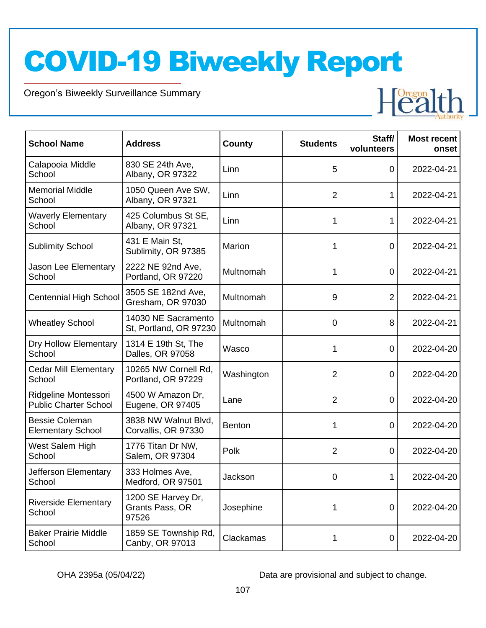Oregon's Biweekly Surveillance Summary

Novel Coronavirus (COVID-19)



| <b>School Name</b>                                   | <b>Address</b>                                 | <b>County</b> | <b>Students</b> | Staff/<br>volunteers | <b>Most recent</b><br>onset |
|------------------------------------------------------|------------------------------------------------|---------------|-----------------|----------------------|-----------------------------|
| Calapooia Middle<br>School                           | 830 SE 24th Ave,<br>Albany, OR 97322           | Linn          | 5               | 0                    | 2022-04-21                  |
| <b>Memorial Middle</b><br>School                     | 1050 Queen Ave SW,<br>Albany, OR 97321         | Linn          | $\overline{2}$  |                      | 2022-04-21                  |
| <b>Waverly Elementary</b><br>School                  | 425 Columbus St SE,<br>Albany, OR 97321        | Linn          | 1               |                      | 2022-04-21                  |
| <b>Sublimity School</b>                              | 431 E Main St,<br>Sublimity, OR 97385          | Marion        | 1               | 0                    | 2022-04-21                  |
| Jason Lee Elementary<br>School                       | 2222 NE 92nd Ave,<br>Portland, OR 97220        | Multnomah     | 1               | 0                    | 2022-04-21                  |
| <b>Centennial High School</b>                        | 3505 SE 182nd Ave,<br>Gresham, OR 97030        | Multnomah     | 9               | $\overline{2}$       | 2022-04-21                  |
| <b>Wheatley School</b>                               | 14030 NE Sacramento<br>St, Portland, OR 97230  | Multnomah     | $\overline{0}$  | 8                    | 2022-04-21                  |
| Dry Hollow Elementary<br>School                      | 1314 E 19th St, The<br>Dalles, OR 97058        | Wasco         | 1               | 0                    | 2022-04-20                  |
| <b>Cedar Mill Elementary</b><br>School               | 10265 NW Cornell Rd,<br>Portland, OR 97229     | Washington    | $\overline{2}$  | 0                    | 2022-04-20                  |
| Ridgeline Montessori<br><b>Public Charter School</b> | 4500 W Amazon Dr,<br>Eugene, OR 97405          | Lane          | 2               | 0                    | 2022-04-20                  |
| <b>Bessie Coleman</b><br><b>Elementary School</b>    | 3838 NW Walnut Blvd,<br>Corvallis, OR 97330    | <b>Benton</b> | 1               | 0                    | 2022-04-20                  |
| West Salem High<br>School                            | 1776 Titan Dr NW,<br>Salem, OR 97304           | Polk          | $\overline{2}$  | 0                    | 2022-04-20                  |
| Jefferson Elementary<br>School                       | 333 Holmes Ave,<br>Medford, OR 97501           | Jackson       | 0               |                      | 2022-04-20                  |
| <b>Riverside Elementary</b><br>School                | 1200 SE Harvey Dr,<br>Grants Pass, OR<br>97526 | Josephine     | 1               | $\mathbf 0$          | 2022-04-20                  |
| <b>Baker Prairie Middle</b><br>School                | 1859 SE Township Rd,<br>Canby, OR 97013        | Clackamas     |                 | 0                    | 2022-04-20                  |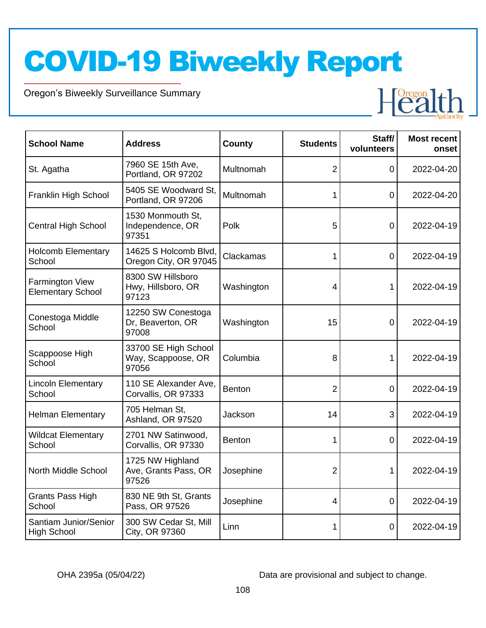Oregon's Biweekly Surveillance Summary

Novel Coronavirus (COVID-19)



| <b>School Name</b>                                 | <b>Address</b>                                      | <b>County</b> | <b>Students</b> | Staff/<br>volunteers | <b>Most recent</b><br>onset |
|----------------------------------------------------|-----------------------------------------------------|---------------|-----------------|----------------------|-----------------------------|
| St. Agatha                                         | 7960 SE 15th Ave,<br>Portland, OR 97202             | Multnomah     | $\overline{2}$  | 0                    | 2022-04-20                  |
| Franklin High School                               | 5405 SE Woodward St.<br>Portland, OR 97206          | Multnomah     | 1               | 0                    | 2022-04-20                  |
| <b>Central High School</b>                         | 1530 Monmouth St,<br>Independence, OR<br>97351      | Polk          | 5               | 0                    | 2022-04-19                  |
| <b>Holcomb Elementary</b><br>School                | 14625 S Holcomb Blvd,<br>Oregon City, OR 97045      | Clackamas     | 1               | 0                    | 2022-04-19                  |
| <b>Farmington View</b><br><b>Elementary School</b> | 8300 SW Hillsboro<br>Hwy, Hillsboro, OR<br>97123    | Washington    | 4               |                      | 2022-04-19                  |
| Conestoga Middle<br>School                         | 12250 SW Conestoga<br>Dr, Beaverton, OR<br>97008    | Washington    | 15              | 0                    | 2022-04-19                  |
| Scappoose High<br>School                           | 33700 SE High School<br>Way, Scappoose, OR<br>97056 | Columbia      | 8               | 1                    | 2022-04-19                  |
| <b>Lincoln Elementary</b><br>School                | 110 SE Alexander Ave,<br>Corvallis, OR 97333        | <b>Benton</b> | $\overline{2}$  | 0                    | 2022-04-19                  |
| <b>Helman Elementary</b>                           | 705 Helman St.<br>Ashland, OR 97520                 | Jackson       | 14              | 3                    | 2022-04-19                  |
| <b>Wildcat Elementary</b><br>School                | 2701 NW Satinwood,<br>Corvallis, OR 97330           | <b>Benton</b> | 1               | 0                    | 2022-04-19                  |
| North Middle School                                | 1725 NW Highland<br>Ave, Grants Pass, OR<br>97526   | Josephine     | $\overline{2}$  | 1                    | 2022-04-19                  |
| Grants Pass High<br>School                         | 830 NE 9th St, Grants<br>Pass, OR 97526             | Josephine     | 4               | 0                    | 2022-04-19                  |
| Santiam Junior/Senior<br><b>High School</b>        | 300 SW Cedar St, Mill<br>City, OR 97360             | Linn          | 1               | 0                    | 2022-04-19                  |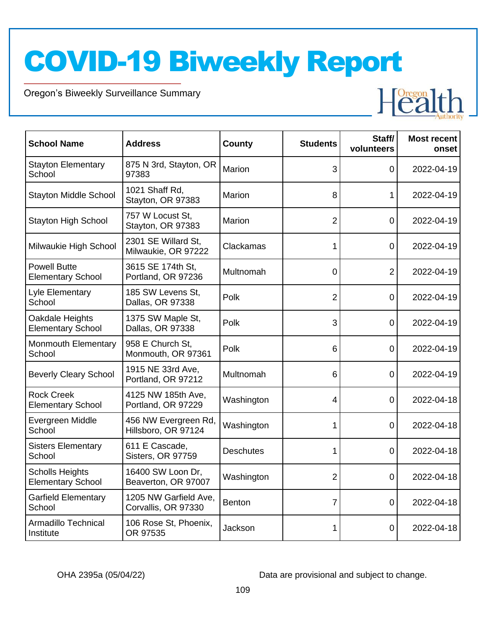Oregon's Biweekly Surveillance Summary

Novel Coronavirus (COVID-19)

Stayton Elementary

**School** 



| <b>Stayton High School</b>                         | 757 W Locust St,<br>Stayton, OR 97383        | <b>Marion</b>    | 2              | 0              | 2022-04-19 |
|----------------------------------------------------|----------------------------------------------|------------------|----------------|----------------|------------|
| Milwaukie High School                              | 2301 SE Willard St,<br>Milwaukie, OR 97222   | Clackamas        |                | 0              | 2022-04-19 |
| <b>Powell Butte</b><br><b>Elementary School</b>    | 3615 SE 174th St,<br>Portland, OR 97236      | Multnomah        | 0              | $\overline{2}$ | 2022-04-19 |
| Lyle Elementary<br>School                          | 185 SW Levens St.<br>Dallas, OR 97338        | Polk             | 2              | 0              | 2022-04-19 |
| Oakdale Heights<br><b>Elementary School</b>        | 1375 SW Maple St,<br>Dallas, OR 97338        | Polk             | 3              | 0              | 2022-04-19 |
| Monmouth Elementary<br>School                      | 958 E Church St,<br>Monmouth, OR 97361       | Polk             | 6              | $\overline{0}$ | 2022-04-19 |
| <b>Beverly Cleary School</b>                       | 1915 NE 33rd Ave,<br>Portland, OR 97212      | Multnomah        | 6              | 0              | 2022-04-19 |
| <b>Rock Creek</b><br><b>Elementary School</b>      | 4125 NW 185th Ave,<br>Portland, OR 97229     | Washington       | 4              | $\Omega$       | 2022-04-18 |
| Evergreen Middle<br>School                         | 456 NW Evergreen Rd,<br>Hillsboro, OR 97124  | Washington       |                | 0              | 2022-04-18 |
| <b>Sisters Elementary</b><br>School                | 611 E Cascade,<br>Sisters, OR 97759          | <b>Deschutes</b> |                | $\overline{0}$ | 2022-04-18 |
| <b>Scholls Heights</b><br><b>Elementary School</b> | 16400 SW Loon Dr,<br>Beaverton, OR 97007     | Washington       | $\overline{2}$ | 0              | 2022-04-18 |
| <b>Garfield Elementary</b><br>School               | 1205 NW Garfield Ave,<br>Corvallis, OR 97330 | <b>Benton</b>    |                | 0              | 2022-04-18 |
| Armadillo Technical<br>Institute                   | 106 Rose St, Phoenix,<br>OR 97535            | Jackson          |                | $\overline{0}$ | 2022-04-18 |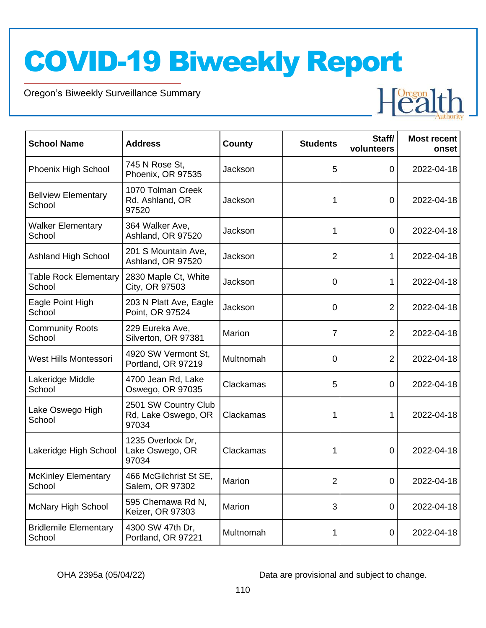Oregon's Biweekly Surveillance Summary

Novel Coronavirus (COVID-19)



| <b>School Name</b>                     | <b>Address</b>                                       | <b>County</b> | <b>Students</b> | Staff/<br>volunteers | <b>Most recent</b><br>onset |
|----------------------------------------|------------------------------------------------------|---------------|-----------------|----------------------|-----------------------------|
| Phoenix High School                    | 745 N Rose St,<br>Phoenix, OR 97535                  | Jackson       | 5               | 0                    | 2022-04-18                  |
| <b>Bellview Elementary</b><br>School   | 1070 Tolman Creek<br>Rd, Ashland, OR<br>97520        | Jackson       | 1               | $\mathbf 0$          | 2022-04-18                  |
| <b>Walker Elementary</b><br>School     | 364 Walker Ave,<br>Ashland, OR 97520                 | Jackson       | 1               | 0                    | 2022-04-18                  |
| <b>Ashland High School</b>             | 201 S Mountain Ave,<br>Ashland, OR 97520             | Jackson       | $\overline{2}$  | 1                    | 2022-04-18                  |
| <b>Table Rock Elementary</b><br>School | 2830 Maple Ct, White<br>City, OR 97503               | Jackson       | $\mathbf 0$     | 1                    | 2022-04-18                  |
| Eagle Point High<br>School             | 203 N Platt Ave, Eagle<br>Point, OR 97524            | Jackson       | 0               | $\overline{2}$       | 2022-04-18                  |
| <b>Community Roots</b><br>School       | 229 Eureka Ave,<br>Silverton, OR 97381               | Marion        | 7               | $\overline{2}$       | 2022-04-18                  |
| West Hills Montessori                  | 4920 SW Vermont St,<br>Portland, OR 97219            | Multnomah     | $\overline{0}$  | 2                    | 2022-04-18                  |
| Lakeridge Middle<br>School             | 4700 Jean Rd, Lake<br>Oswego, OR 97035               | Clackamas     | 5               | 0                    | 2022-04-18                  |
| Lake Oswego High<br>School             | 2501 SW Country Club<br>Rd, Lake Oswego, OR<br>97034 | Clackamas     | 1               | 1                    | 2022-04-18                  |
| Lakeridge High School                  | 1235 Overlook Dr,<br>Lake Oswego, OR<br>97034        | Clackamas     | 1               | $\mathbf 0$          | 2022-04-18                  |
| <b>McKinley Elementary</b><br>School   | 466 McGilchrist St SE,<br>Salem, OR 97302            | Marion        | $\overline{2}$  | 0                    | 2022-04-18                  |
| <b>McNary High School</b>              | 595 Chemawa Rd N,<br>Keizer, OR 97303                | <b>Marion</b> | 3               | 0                    | 2022-04-18                  |
| <b>Bridlemile Elementary</b><br>School | 4300 SW 47th Dr,<br>Portland, OR 97221               | Multnomah     | 1               | 0                    | 2022-04-18                  |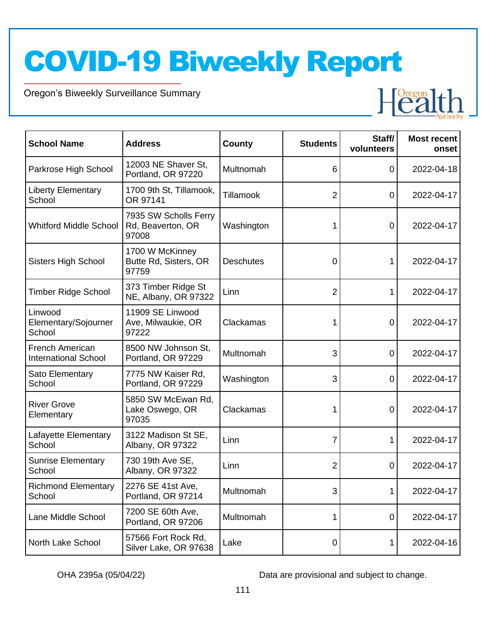Oregon's Biweekly Surveillance Summary

Novel Coronavirus (COVID-19)



| <b>School Name</b>                                    | <b>Address</b>                                      | County           | <b>Students</b> | Staff/<br>volunteers | <b>Most recent</b><br>onset |
|-------------------------------------------------------|-----------------------------------------------------|------------------|-----------------|----------------------|-----------------------------|
| Parkrose High School                                  | 12003 NE Shaver St,<br>Portland, OR 97220           | Multnomah        | 6               | $\mathbf 0$          | 2022-04-18                  |
| <b>Liberty Elementary</b><br>School                   | 1700 9th St, Tillamook,<br>OR 97141                 | Tillamook        | 2               | 0                    | 2022-04-17                  |
| <b>Whitford Middle School</b>                         | 7935 SW Scholls Ferry<br>Rd, Beaverton, OR<br>97008 | Washington       | 1               | 0                    | 2022-04-17                  |
| <b>Sisters High School</b>                            | 1700 W McKinney<br>Butte Rd, Sisters, OR<br>97759   | <b>Deschutes</b> | 0               |                      | 2022-04-17                  |
| <b>Timber Ridge School</b>                            | 373 Timber Ridge St<br>NE, Albany, OR 97322         | Linn             | 2               | 1                    | 2022-04-17                  |
| Linwood<br>Elementary/Sojourner<br>School             | 11909 SE Linwood<br>Ave, Milwaukie, OR<br>97222     | Clackamas        | 1               | $\overline{0}$       | 2022-04-17                  |
| <b>French American</b><br><b>International School</b> | 8500 NW Johnson St,<br>Portland, OR 97229           | Multnomah        | 3               | 0                    | 2022-04-17                  |
| Sato Elementary<br>School                             | 7775 NW Kaiser Rd,<br>Portland, OR 97229            | Washington       | 3               | 0                    | 2022-04-17                  |
| <b>River Grove</b><br>Elementary                      | 5850 SW McEwan Rd,<br>Lake Oswego, OR<br>97035      | Clackamas        | 1               | 0                    | 2022-04-17                  |
| Lafayette Elementary<br>School                        | 3122 Madison St SE,<br>Albany, OR 97322             | Linn             | 7               |                      | 2022-04-17                  |
| <b>Sunrise Elementary</b><br>School                   | 730 19th Ave SE,<br>Albany, OR 97322                | Linn             | 2               | $\Omega$             | 2022-04-17                  |
| <b>Richmond Elementary</b><br>School                  | 2276 SE 41st Ave,<br>Portland, OR 97214             | Multnomah        | 3               | 1                    | 2022-04-17                  |
| Lane Middle School                                    | 7200 SE 60th Ave,<br>Portland, OR 97206             | Multnomah        | 1               | $\mathbf 0$          | 2022-04-17                  |
| North Lake School                                     | 57566 Fort Rock Rd,<br>Silver Lake, OR 97638        | Lake             | 0               | 1                    | 2022-04-16                  |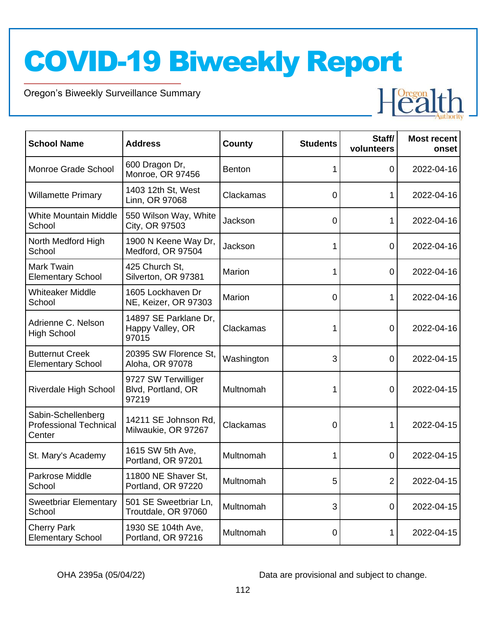Oregon's Biweekly Surveillance Summary

Novel Coronavirus (COVID-19)



| <b>School Name</b>                                            | <b>Address</b>                                     | County        | <b>Students</b> | Staff/<br>volunteers | <b>Most recent</b><br>onset |
|---------------------------------------------------------------|----------------------------------------------------|---------------|-----------------|----------------------|-----------------------------|
| Monroe Grade School                                           | 600 Dragon Dr,<br>Monroe, OR 97456                 | <b>Benton</b> | 1               | $\overline{0}$       | 2022-04-16                  |
| <b>Willamette Primary</b>                                     | 1403 12th St, West<br>Linn, OR 97068               | Clackamas     | 0               |                      | 2022-04-16                  |
| <b>White Mountain Middle</b><br>School                        | 550 Wilson Way, White<br>City, OR 97503            | Jackson       | 0               |                      | 2022-04-16                  |
| North Medford High<br>School                                  | 1900 N Keene Way Dr,<br>Medford, OR 97504          | Jackson       | 1               | $\mathbf 0$          | 2022-04-16                  |
| <b>Mark Twain</b><br><b>Elementary School</b>                 | 425 Church St,<br>Silverton, OR 97381              | Marion        |                 | $\mathbf 0$          | 2022-04-16                  |
| <b>Whiteaker Middle</b><br>School                             | 1605 Lockhaven Dr<br>NE, Keizer, OR 97303          | Marion        | 0               |                      | 2022-04-16                  |
| Adrienne C. Nelson<br><b>High School</b>                      | 14897 SE Parklane Dr,<br>Happy Valley, OR<br>97015 | Clackamas     | 1               | 0                    | 2022-04-16                  |
| <b>Butternut Creek</b><br><b>Elementary School</b>            | 20395 SW Florence St.<br>Aloha, OR 97078           | Washington    | 3               | $\mathbf{0}$         | 2022-04-15                  |
| Riverdale High School                                         | 9727 SW Terwilliger<br>Blvd, Portland, OR<br>97219 | Multnomah     |                 | $\mathbf 0$          | 2022-04-15                  |
| Sabin-Schellenberg<br><b>Professional Technical</b><br>Center | 14211 SE Johnson Rd,<br>Milwaukie, OR 97267        | Clackamas     | 0               |                      | 2022-04-15                  |
| St. Mary's Academy                                            | 1615 SW 5th Ave,<br>Portland, OR 97201             | Multnomah     | 1               | $\mathbf 0$          | 2022-04-15                  |
| Parkrose Middle<br>School                                     | 11800 NE Shaver St,<br>Portland, OR 97220          | Multnomah     | 5               | 2                    | 2022-04-15                  |
| <b>Sweetbriar Elementary</b><br>School                        | 501 SE Sweetbriar Ln,<br>Troutdale, OR 97060       | Multnomah     | 3               | $\mathbf 0$          | 2022-04-15                  |
| <b>Cherry Park</b><br><b>Elementary School</b>                | 1930 SE 104th Ave,<br>Portland, OR 97216           | Multnomah     | 0               | 1                    | 2022-04-15                  |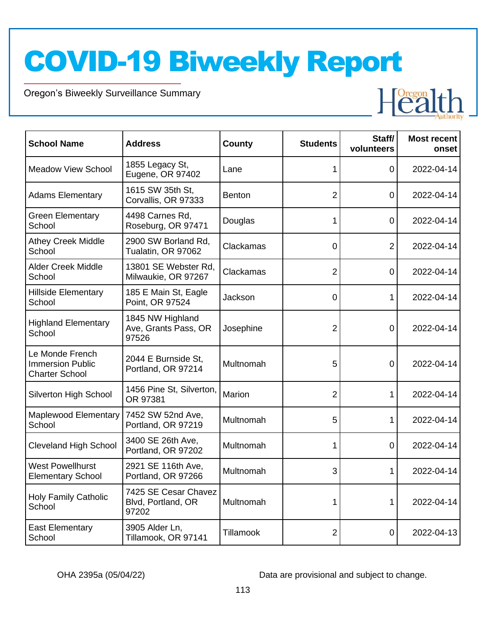Oregon's Biweekly Surveillance Summary

Novel Coronavirus (COVID-19)



| <b>School Name</b>                                                  | <b>Address</b>                                      | <b>County</b>    | <b>Students</b> | Staff/<br>volunteers | <b>Most recent</b><br>onset |
|---------------------------------------------------------------------|-----------------------------------------------------|------------------|-----------------|----------------------|-----------------------------|
| <b>Meadow View School</b>                                           | 1855 Legacy St,<br>Eugene, OR 97402                 | Lane             | 1               | 0                    | 2022-04-14                  |
| <b>Adams Elementary</b>                                             | 1615 SW 35th St,<br>Corvallis, OR 97333             | <b>Benton</b>    | 2               | 0                    | 2022-04-14                  |
| <b>Green Elementary</b><br>School                                   | 4498 Carnes Rd,<br>Roseburg, OR 97471               | Douglas          | 1               | 0                    | 2022-04-14                  |
| <b>Athey Creek Middle</b><br>School                                 | 2900 SW Borland Rd,<br>Tualatin, OR 97062           | Clackamas        | 0               | 2                    | 2022-04-14                  |
| <b>Alder Creek Middle</b><br>School                                 | 13801 SE Webster Rd,<br>Milwaukie, OR 97267         | Clackamas        | $\overline{2}$  | $\mathbf 0$          | 2022-04-14                  |
| <b>Hillside Elementary</b><br>School                                | 185 E Main St, Eagle<br>Point, OR 97524             | Jackson          | $\overline{0}$  | 1                    | 2022-04-14                  |
| <b>Highland Elementary</b><br>School                                | 1845 NW Highland<br>Ave, Grants Pass, OR<br>97526   | Josephine        | 2               | 0                    | 2022-04-14                  |
| Le Monde French<br><b>Immersion Public</b><br><b>Charter School</b> | 2044 E Burnside St,<br>Portland, OR 97214           | Multnomah        | 5               | 0                    | 2022-04-14                  |
| Silverton High School                                               | 1456 Pine St, Silverton,<br>OR 97381                | Marion           | 2               | 1                    | 2022-04-14                  |
| Maplewood Elementary<br>School                                      | 7452 SW 52nd Ave,<br>Portland, OR 97219             | Multnomah        | 5               | 1                    | 2022-04-14                  |
| <b>Cleveland High School</b>                                        | 3400 SE 26th Ave,<br>Portland, OR 97202             | Multnomah        | 1               | 0                    | 2022-04-14                  |
| <b>West Powellhurst</b><br><b>Elementary School</b>                 | 2921 SE 116th Ave,<br>Portland, OR 97266            | Multnomah        | 3               | 1                    | 2022-04-14                  |
| <b>Holy Family Catholic</b><br>School                               | 7425 SE Cesar Chavez<br>Blvd, Portland, OR<br>97202 | Multnomah        | 1               | 1                    | 2022-04-14                  |
| <b>East Elementary</b><br>School                                    | 3905 Alder Ln,<br>Tillamook, OR 97141               | <b>Tillamook</b> | $\overline{2}$  | 0                    | 2022-04-13                  |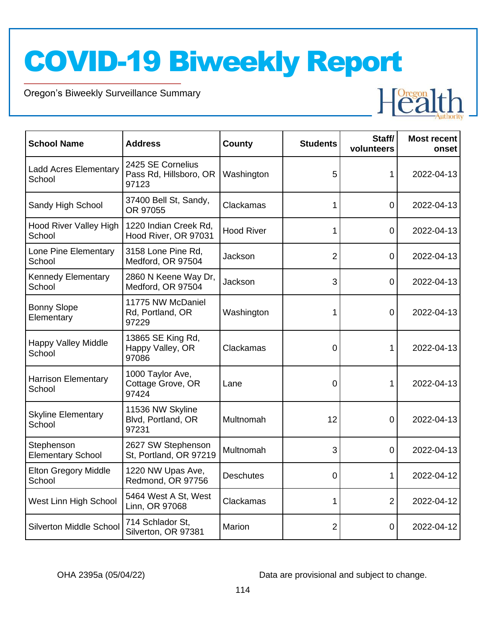Oregon's Biweekly Surveillance Summary

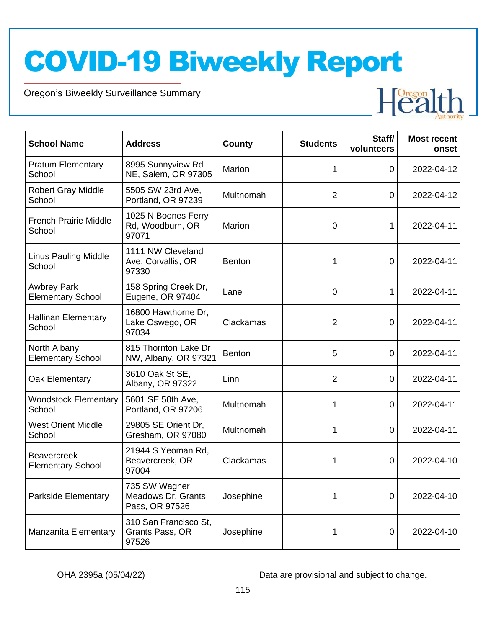Oregon's Biweekly Surveillance Summary

Novel Coronavirus (COVID-19)



| <b>School Name</b>                             | <b>Address</b>                                        | County        | <b>Students</b> | Staff/<br>volunteers | <b>Most recent</b><br>onset |
|------------------------------------------------|-------------------------------------------------------|---------------|-----------------|----------------------|-----------------------------|
| <b>Pratum Elementary</b><br>School             | 8995 Sunnyview Rd<br>NE, Salem, OR 97305              | Marion        | 1               | 0                    | 2022-04-12                  |
| <b>Robert Gray Middle</b><br>School            | 5505 SW 23rd Ave,<br>Portland, OR 97239               | Multnomah     | $\overline{2}$  | 0                    | 2022-04-12                  |
| <b>French Prairie Middle</b><br>School         | 1025 N Boones Ferry<br>Rd, Woodburn, OR<br>97071      | <b>Marion</b> | 0               |                      | 2022-04-11                  |
| <b>Linus Pauling Middle</b><br>School          | 1111 NW Cleveland<br>Ave, Corvallis, OR<br>97330      | <b>Benton</b> | 1               | 0                    | 2022-04-11                  |
| <b>Awbrey Park</b><br><b>Elementary School</b> | 158 Spring Creek Dr,<br>Eugene, OR 97404              | Lane          | $\mathbf 0$     | 1                    | 2022-04-11                  |
| <b>Hallinan Elementary</b><br>School           | 16800 Hawthorne Dr,<br>Lake Oswego, OR<br>97034       | Clackamas     | $\overline{2}$  | 0                    | 2022-04-11                  |
| North Albany<br><b>Elementary School</b>       | 815 Thornton Lake Dr<br>NW, Albany, OR 97321          | <b>Benton</b> | 5               | 0                    | 2022-04-11                  |
| Oak Elementary                                 | 3610 Oak St SE,<br>Albany, OR 97322                   | Linn          | $\overline{2}$  | 0                    | 2022-04-11                  |
| <b>Woodstock Elementary</b><br>School          | 5601 SE 50th Ave,<br>Portland, OR 97206               | Multnomah     | 1               | 0                    | 2022-04-11                  |
| <b>West Orient Middle</b><br>School            | 29805 SE Orient Dr,<br>Gresham, OR 97080              | Multnomah     | 1               | 0                    | 2022-04-11                  |
| <b>Beavercreek</b><br><b>Elementary School</b> | 21944 S Yeoman Rd,<br>Beavercreek, OR<br>97004        | Clackamas     | 1               | 0                    | 2022-04-10                  |
| Parkside Elementary                            | 735 SW Wagner<br>Meadows Dr, Grants<br>Pass, OR 97526 | Josephine     | 1               | $\mathbf 0$          | 2022-04-10                  |
| <b>Manzanita Elementary</b>                    | 310 San Francisco St,<br>Grants Pass, OR<br>97526     | Josephine     | 1               | 0                    | 2022-04-10                  |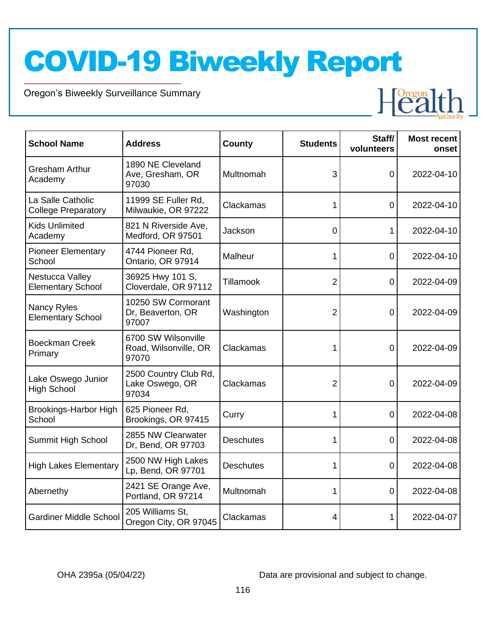Oregon's Biweekly Surveillance Summary

Novel Coronavirus (COVID-19)



| <b>School Name</b>                              | <b>Address</b>                                        | <b>County</b>    | <b>Students</b> | Staff/<br>volunteers | <b>Most recent</b><br>onset |
|-------------------------------------------------|-------------------------------------------------------|------------------|-----------------|----------------------|-----------------------------|
| <b>Gresham Arthur</b><br>Academy                | 1890 NE Cleveland<br>Ave, Gresham, OR<br>97030        | Multnomah        | 3               | 0                    | 2022-04-10                  |
| La Salle Catholic<br><b>College Preparatory</b> | 11999 SE Fuller Rd,<br>Milwaukie, OR 97222            | Clackamas        | 1               | $\overline{0}$       | 2022-04-10                  |
| <b>Kids Unlimited</b><br>Academy                | 821 N Riverside Ave,<br>Medford, OR 97501             | Jackson          | $\overline{0}$  | 1                    | 2022-04-10                  |
| <b>Pioneer Elementary</b><br>School             | 4744 Pioneer Rd.<br>Ontario, OR 97914                 | Malheur          | 1               | 0                    | 2022-04-10                  |
| Nestucca Valley<br><b>Elementary School</b>     | 36925 Hwy 101 S,<br>Cloverdale, OR 97112              | Tillamook        | $\overline{2}$  | $\overline{0}$       | 2022-04-09                  |
| Nancy Ryles<br><b>Elementary School</b>         | 10250 SW Cormorant<br>Dr, Beaverton, OR<br>97007      | Washington       | $\overline{2}$  | 0                    | 2022-04-09                  |
| <b>Boeckman Creek</b><br>Primary                | 6700 SW Wilsonville<br>Road, Wilsonville, OR<br>97070 | Clackamas        | 1               | 0                    | 2022-04-09                  |
| Lake Oswego Junior<br><b>High School</b>        | 2500 Country Club Rd,<br>Lake Oswego, OR<br>97034     | Clackamas        | $\overline{2}$  | 0                    | 2022-04-09                  |
| Brookings-Harbor High<br>School                 | 625 Pioneer Rd,<br>Brookings, OR 97415                | Curry            | 1               | 0                    | 2022-04-08                  |
| Summit High School                              | 2855 NW Clearwater<br>Dr, Bend, OR 97703              | <b>Deschutes</b> | 1               | $\overline{0}$       | 2022-04-08                  |
| <b>High Lakes Elementary</b>                    | 2500 NW High Lakes<br>Lp, Bend, OR 97701              | <b>Deschutes</b> | 1               | $\mathbf 0$          | 2022-04-08                  |
| Abernethy                                       | 2421 SE Orange Ave,<br>Portland, OR 97214             | Multnomah        | 1               | $\mathbf 0$          | 2022-04-08                  |
| <b>Gardiner Middle School</b>                   | 205 Williams St,<br>Oregon City, OR 97045             | Clackamas        | 4               | 1                    | 2022-04-07                  |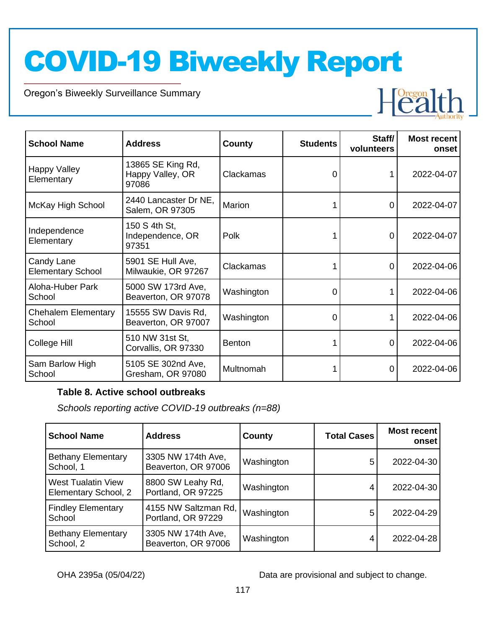Oregon's Biweekly Surveillance Summary

Novel Coronavirus (COVID-19)



| <b>School Name</b>                     | <b>Address</b>                                 | County        | <b>Students</b> | Staff/<br>volunteers | Most recent<br>onset |
|----------------------------------------|------------------------------------------------|---------------|-----------------|----------------------|----------------------|
| Happy Valley<br>Elementary             | 13865 SE King Rd,<br>Happy Valley, OR<br>97086 | Clackamas     | 0               |                      | 2022-04-07           |
| McKay High School                      | 2440 Lancaster Dr NE,<br>Salem, OR 97305       | Marion        |                 | 0                    | 2022-04-07           |
| Independence<br>Elementary             | 150 S 4th St,<br>Independence, OR<br>97351     | Polk          |                 | 0                    | 2022-04-07           |
| Candy Lane<br><b>Elementary School</b> | 5901 SE Hull Ave,<br>Milwaukie, OR 97267       | Clackamas     |                 | 0                    | 2022-04-06           |
| Aloha-Huber Park<br>School             | 5000 SW 173rd Ave,<br>Beaverton, OR 97078      | Washington    | 0               |                      | 2022-04-06           |
| <b>Chehalem Elementary</b><br>School   | 15555 SW Davis Rd,<br>Beaverton, OR 97007      | Washington    | 0               |                      | 2022-04-06           |
| College Hill                           | 510 NW 31st St,<br>Corvallis, OR 97330         | <b>Benton</b> |                 | 0                    | 2022-04-06           |
| Sam Barlow High<br>School              | 5105 SE 302nd Ave,<br>Gresham, OR 97080        | Multnomah     |                 |                      | 2022-04-06           |

#### **Table 8. Active school outbreaks**

*Schools reporting active COVID-19 outbreaks (n=88)*

| <b>School Name</b>                                | <b>Address</b>                             | County     | <b>Total Cases</b> | Most recent<br>onset |
|---------------------------------------------------|--------------------------------------------|------------|--------------------|----------------------|
| <b>Bethany Elementary</b><br>School, 1            | 3305 NW 174th Ave,<br>Beaverton, OR 97006  | Washington | 5                  | 2022-04-30           |
| <b>West Tualatin View</b><br>Elementary School, 2 | 8800 SW Leahy Rd,<br>Portland, OR 97225    | Washington |                    | 2022-04-30           |
| <b>Findley Elementary</b><br>School               | 4155 NW Saltzman Rd,<br>Portland, OR 97229 | Washington | 5                  | 2022-04-29           |
| <b>Bethany Elementary</b><br>School, 2            | 3305 NW 174th Ave,<br>Beaverton, OR 97006  | Washington | 4                  | 2022-04-28           |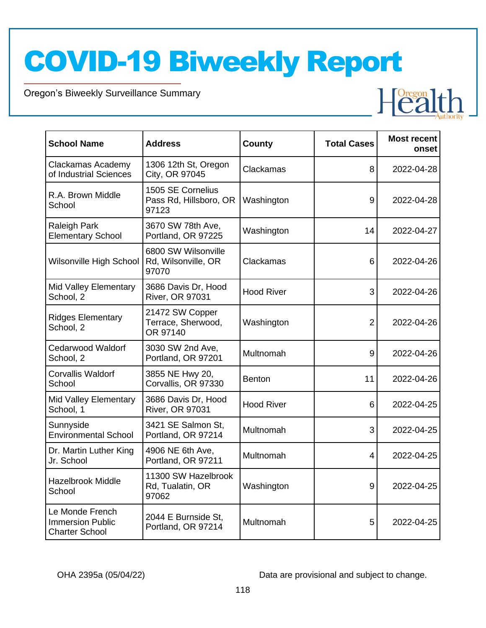Oregon's Biweekly Surveillance Summary

Novel Coronavirus (COVID-19)

| <b>School Name</b>                                                  | <b>Address</b>                                       | County            | <b>Total Cases</b> | <b>Most recent</b><br>onset |
|---------------------------------------------------------------------|------------------------------------------------------|-------------------|--------------------|-----------------------------|
| Clackamas Academy<br>of Industrial Sciences                         | 1306 12th St, Oregon<br>City, OR 97045               | Clackamas         | 8                  | 2022-04-28                  |
| R.A. Brown Middle<br>School                                         | 1505 SE Cornelius<br>Pass Rd, Hillsboro, OR<br>97123 | Washington        | 9                  | 2022-04-28                  |
| Raleigh Park<br><b>Elementary School</b>                            | 3670 SW 78th Ave,<br>Portland, OR 97225              | Washington        | 14                 | 2022-04-27                  |
| Wilsonville High School                                             | 6800 SW Wilsonville<br>Rd, Wilsonville, OR<br>97070  | Clackamas         | 6                  | 2022-04-26                  |
| Mid Valley Elementary<br>School, 2                                  | 3686 Davis Dr, Hood<br><b>River, OR 97031</b>        | <b>Hood River</b> | 3                  | 2022-04-26                  |
| <b>Ridges Elementary</b><br>School, 2                               | 21472 SW Copper<br>Terrace, Sherwood,<br>OR 97140    | Washington        | $\overline{2}$     | 2022-04-26                  |
| <b>Cedarwood Waldorf</b><br>School, 2                               | 3030 SW 2nd Ave,<br>Portland, OR 97201               | Multnomah         | 9                  | 2022-04-26                  |
| <b>Corvallis Waldorf</b><br>School                                  | 3855 NE Hwy 20,<br>Corvallis, OR 97330               | <b>Benton</b>     | 11                 | 2022-04-26                  |
| Mid Valley Elementary<br>School, 1                                  | 3686 Davis Dr, Hood<br><b>River, OR 97031</b>        | <b>Hood River</b> | 6                  | 2022-04-25                  |
| Sunnyside<br><b>Environmental School</b>                            | 3421 SE Salmon St,<br>Portland, OR 97214             | Multnomah         | 3                  | 2022-04-25                  |
| Dr. Martin Luther King<br>Jr. School                                | 4906 NE 6th Ave,<br>Portland, OR 97211               | Multnomah         | 4                  | 2022-04-25                  |
| <b>Hazelbrook Middle</b><br>School                                  | 11300 SW Hazelbrook<br>Rd, Tualatin, OR<br>97062     | Washington        | 9                  | 2022-04-25                  |
| Le Monde French<br><b>Immersion Public</b><br><b>Charter School</b> | 2044 E Burnside St,<br>Portland, OR 97214            | Multnomah         | 5                  | 2022-04-25                  |

OHA 2395a (05/04/22) Data are provisional and subject to change.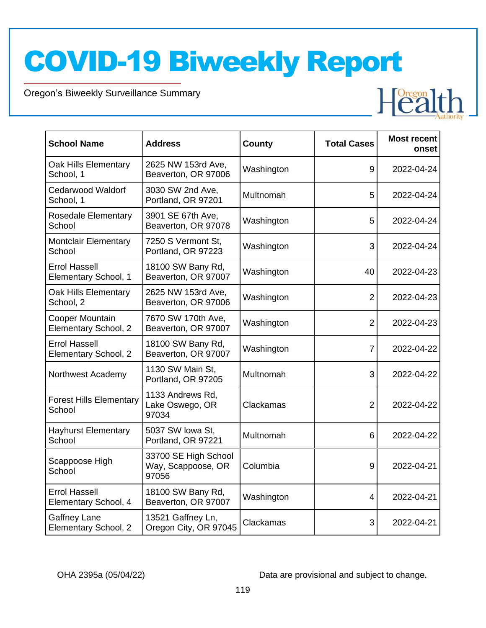Oregon's Biweekly Surveillance Summary

Novel Coronavirus (COVID-19)

| <b>School Name</b>                           | <b>Address</b>                                      | <b>County</b> | <b>Total Cases</b> | <b>Most recent</b><br>onset |
|----------------------------------------------|-----------------------------------------------------|---------------|--------------------|-----------------------------|
| Oak Hills Elementary<br>School, 1            | 2625 NW 153rd Ave,<br>Beaverton, OR 97006           | Washington    | 9                  | 2022-04-24                  |
| <b>Cedarwood Waldorf</b><br>School, 1        | 3030 SW 2nd Ave,<br>Portland, OR 97201              | Multnomah     | 5                  | 2022-04-24                  |
| <b>Rosedale Elementary</b><br>School         | 3901 SE 67th Ave,<br>Beaverton, OR 97078            | Washington    | 5                  | 2022-04-24                  |
| <b>Montclair Elementary</b><br>School        | 7250 S Vermont St.<br>Portland, OR 97223            | Washington    | 3                  | 2022-04-24                  |
| <b>Errol Hassell</b><br>Elementary School, 1 | 18100 SW Bany Rd,<br>Beaverton, OR 97007            | Washington    | 40                 | 2022-04-23                  |
| Oak Hills Elementary<br>School, 2            | 2625 NW 153rd Ave,<br>Beaverton, OR 97006           | Washington    | $\overline{2}$     | 2022-04-23                  |
| Cooper Mountain<br>Elementary School, 2      | 7670 SW 170th Ave,<br>Beaverton, OR 97007           | Washington    | $\overline{2}$     | 2022-04-23                  |
| <b>Errol Hassell</b><br>Elementary School, 2 | 18100 SW Bany Rd,<br>Beaverton, OR 97007            | Washington    | $\overline{7}$     | 2022-04-22                  |
| Northwest Academy                            | 1130 SW Main St.<br>Portland, OR 97205              | Multnomah     | 3                  | 2022-04-22                  |
| <b>Forest Hills Elementary</b><br>School     | 1133 Andrews Rd.<br>Lake Oswego, OR<br>97034        | Clackamas     | $\overline{2}$     | 2022-04-22                  |
| <b>Hayhurst Elementary</b><br>School         | 5037 SW lowa St,<br>Portland, OR 97221              | Multnomah     | 6                  | 2022-04-22                  |
| Scappoose High<br>School                     | 33700 SE High School<br>Way, Scappoose, OR<br>97056 | Columbia      | 9                  | 2022-04-21                  |
| <b>Errol Hassell</b><br>Elementary School, 4 | 18100 SW Bany Rd,<br>Beaverton, OR 97007            | Washington    | 4                  | 2022-04-21                  |
| <b>Gaffney Lane</b><br>Elementary School, 2  | 13521 Gaffney Ln,<br>Oregon City, OR 97045          | Clackamas     | 3                  | 2022-04-21                  |

OHA 2395a (05/04/22) Data are provisional and subject to change.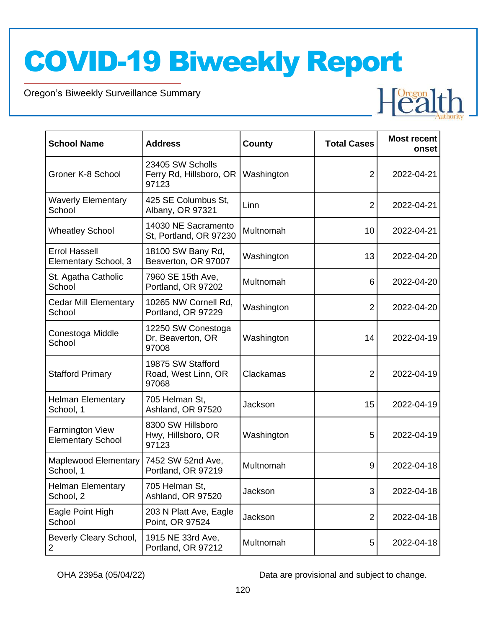Oregon's Biweekly Surveillance Summary

Novel Coronavirus (COVID-19)

| <b>School Name</b>                                 | <b>Address</b>                                       | <b>County</b> | <b>Total Cases</b> | <b>Most recent</b><br>onset |
|----------------------------------------------------|------------------------------------------------------|---------------|--------------------|-----------------------------|
| Groner K-8 School                                  | 23405 SW Scholls<br>Ferry Rd, Hillsboro, OR<br>97123 | Washington    | 2                  | 2022-04-21                  |
| <b>Waverly Elementary</b><br>School                | 425 SE Columbus St,<br>Albany, OR 97321              | Linn          | $\overline{2}$     | 2022-04-21                  |
| <b>Wheatley School</b>                             | 14030 NE Sacramento<br>St, Portland, OR 97230        | Multnomah     | 10                 | 2022-04-21                  |
| <b>Errol Hassell</b><br>Elementary School, 3       | 18100 SW Bany Rd,<br>Beaverton, OR 97007             | Washington    | 13                 | 2022-04-20                  |
| St. Agatha Catholic<br>School                      | 7960 SE 15th Ave,<br>Portland, OR 97202              | Multnomah     | 6                  | 2022-04-20                  |
| <b>Cedar Mill Elementary</b><br>School             | 10265 NW Cornell Rd,<br>Portland, OR 97229           | Washington    | 2                  | 2022-04-20                  |
| Conestoga Middle<br>School                         | 12250 SW Conestoga<br>Dr, Beaverton, OR<br>97008     | Washington    | 14                 | 2022-04-19                  |
| <b>Stafford Primary</b>                            | 19875 SW Stafford<br>Road, West Linn, OR<br>97068    | Clackamas     | $\overline{2}$     | 2022-04-19                  |
| <b>Helman Elementary</b><br>School, 1              | 705 Helman St,<br>Ashland, OR 97520                  | Jackson       | 15                 | 2022-04-19                  |
| <b>Farmington View</b><br><b>Elementary School</b> | 8300 SW Hillsboro<br>Hwy, Hillsboro, OR<br>97123     | Washington    | 5                  | 2022-04-19                  |
| Maplewood Elementary<br>School, 1                  | 7452 SW 52nd Ave,<br>Portland, OR 97219              | Multnomah     | 9                  | 2022-04-18                  |
| <b>Helman Elementary</b><br>School, 2              | 705 Helman St,<br>Ashland, OR 97520                  | Jackson       | 3                  | 2022-04-18                  |
| Eagle Point High<br>School                         | 203 N Platt Ave, Eagle<br>Point, OR 97524            | Jackson       | $\overline{c}$     | 2022-04-18                  |
| Beverly Cleary School,<br>2                        | 1915 NE 33rd Ave,<br>Portland, OR 97212              | Multnomah     | 5                  | 2022-04-18                  |

OHA 2395a (05/04/22) Data are provisional and subject to change.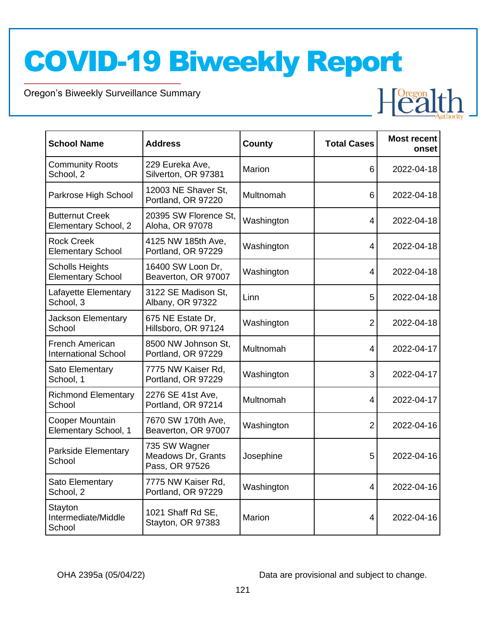Oregon's Biweekly Surveillance Summary

Novel Coronavirus (COVID-19)

| <b>School Name</b>                                 | <b>Address</b>                                        | <b>County</b> | <b>Total Cases</b> | <b>Most recent</b><br>onset |
|----------------------------------------------------|-------------------------------------------------------|---------------|--------------------|-----------------------------|
| <b>Community Roots</b><br>School, 2                | 229 Eureka Ave,<br>Silverton, OR 97381                | Marion        | 6                  | 2022-04-18                  |
| Parkrose High School                               | 12003 NE Shaver St.<br>Portland, OR 97220             | Multnomah     | 6                  | 2022-04-18                  |
| <b>Butternut Creek</b><br>Elementary School, 2     | 20395 SW Florence St.<br>Aloha, OR 97078              | Washington    | 4                  | 2022-04-18                  |
| <b>Rock Creek</b><br><b>Elementary School</b>      | 4125 NW 185th Ave,<br>Portland, OR 97229              | Washington    | 4                  | 2022-04-18                  |
| <b>Scholls Heights</b><br><b>Elementary School</b> | 16400 SW Loon Dr,<br>Beaverton, OR 97007              | Washington    | $\overline{4}$     | 2022-04-18                  |
| Lafayette Elementary<br>School, 3                  | 3122 SE Madison St,<br>Albany, OR 97322               | Linn          | 5                  | 2022-04-18                  |
| <b>Jackson Elementary</b><br>School                | 675 NE Estate Dr,<br>Hillsboro, OR 97124              | Washington    | $\overline{2}$     | 2022-04-18                  |
| French American<br><b>International School</b>     | 8500 NW Johnson St,<br>Portland, OR 97229             | Multnomah     | 4                  | 2022-04-17                  |
| Sato Elementary<br>School, 1                       | 7775 NW Kaiser Rd,<br>Portland, OR 97229              | Washington    | 3                  | 2022-04-17                  |
| <b>Richmond Elementary</b><br>School               | 2276 SE 41st Ave,<br>Portland, OR 97214               | Multnomah     | 4                  | 2022-04-17                  |
| Cooper Mountain<br>Elementary School, 1            | 7670 SW 170th Ave,<br>Beaverton, OR 97007             | Washington    | $\overline{2}$     | 2022-04-16                  |
| <b>Parkside Elementary</b><br>School               | 735 SW Wagner<br>Meadows Dr, Grants<br>Pass, OR 97526 | Josephine     | 5                  | 2022-04-16                  |
| Sato Elementary<br>School, 2                       | 7775 NW Kaiser Rd,<br>Portland, OR 97229              | Washington    | $\overline{4}$     | 2022-04-16                  |
| Stayton<br>Intermediate/Middle<br>School           | 1021 Shaff Rd SE,<br>Stayton, OR 97383                | Marion        | $\overline{4}$     | 2022-04-16                  |

OHA 2395a (05/04/22) Data are provisional and subject to change.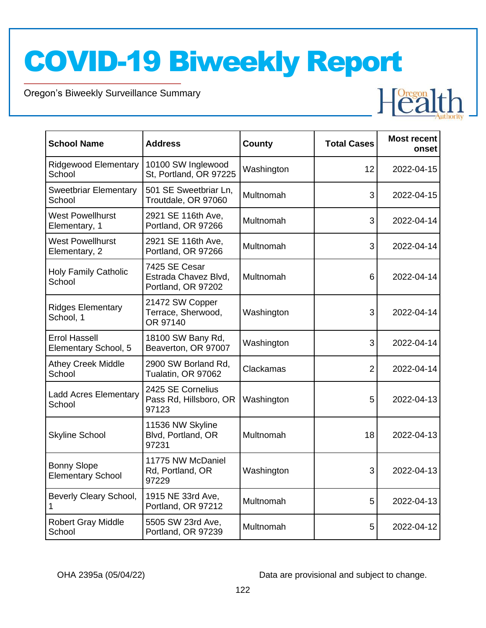Oregon's Biweekly Surveillance Summary

Novel Coronavirus (COVID-19)

| <b>School Name</b>                             | <b>Address</b>                                              | County     | <b>Total Cases</b> | <b>Most recent</b><br>onset |
|------------------------------------------------|-------------------------------------------------------------|------------|--------------------|-----------------------------|
| <b>Ridgewood Elementary</b><br>School          | 10100 SW Inglewood<br>St. Portland, OR 97225                | Washington | 12                 | 2022-04-15                  |
| <b>Sweetbriar Elementary</b><br>School         | 501 SE Sweetbriar Ln,<br>Troutdale, OR 97060                | Multnomah  | 3                  | 2022-04-15                  |
| <b>West Powellhurst</b><br>Elementary, 1       | 2921 SE 116th Ave,<br>Portland, OR 97266                    | Multnomah  | 3                  | 2022-04-14                  |
| <b>West Powellhurst</b><br>Elementary, 2       | 2921 SE 116th Ave,<br>Portland, OR 97266                    | Multnomah  | 3                  | 2022-04-14                  |
| <b>Holy Family Catholic</b><br>School          | 7425 SE Cesar<br>Estrada Chavez Blvd,<br>Portland, OR 97202 | Multnomah  | 6                  | 2022-04-14                  |
| <b>Ridges Elementary</b><br>School, 1          | 21472 SW Copper<br>Terrace, Sherwood,<br>OR 97140           | Washington | 3                  | 2022-04-14                  |
| <b>Errol Hassell</b><br>Elementary School, 5   | 18100 SW Bany Rd,<br>Beaverton, OR 97007                    | Washington | 3                  | 2022-04-14                  |
| <b>Athey Creek Middle</b><br>School            | 2900 SW Borland Rd,<br>Tualatin, OR 97062                   | Clackamas  | $\overline{2}$     | 2022-04-14                  |
| <b>Ladd Acres Elementary</b><br>School         | 2425 SE Cornelius<br>Pass Rd, Hillsboro, OR<br>97123        | Washington | 5                  | 2022-04-13                  |
| <b>Skyline School</b>                          | 11536 NW Skyline<br>Blvd, Portland, OR<br>97231             | Multnomah  | 18                 | 2022-04-13                  |
| <b>Bonny Slope</b><br><b>Elementary School</b> | 11775 NW McDaniel<br>Rd, Portland, OR<br>97229              | Washington | 3                  | 2022-04-13                  |
| Beverly Cleary School,                         | 1915 NE 33rd Ave,<br>Portland, OR 97212                     | Multnomah  | 5                  | 2022-04-13                  |
| <b>Robert Gray Middle</b><br>School            | 5505 SW 23rd Ave,<br>Portland, OR 97239                     | Multnomah  | 5                  | 2022-04-12                  |

OHA 2395a (05/04/22) Data are provisional and subject to change.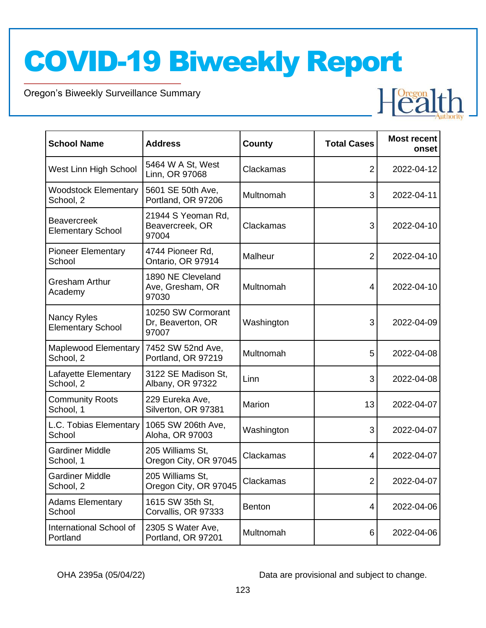Oregon's Biweekly Surveillance Summary

Novel Coronavirus (COVID-19)

| <b>School Name</b>                             | <b>Address</b>                                   | County        | <b>Total Cases</b> | <b>Most recent</b><br>onset |
|------------------------------------------------|--------------------------------------------------|---------------|--------------------|-----------------------------|
| West Linn High School                          | 5464 W A St, West<br>Linn, OR 97068              | Clackamas     | $\overline{2}$     | 2022-04-12                  |
| <b>Woodstock Elementary</b><br>School, 2       | 5601 SE 50th Ave,<br>Portland, OR 97206          | Multnomah     | 3                  | 2022-04-11                  |
| <b>Beavercreek</b><br><b>Elementary School</b> | 21944 S Yeoman Rd,<br>Beavercreek, OR<br>97004   | Clackamas     | 3                  | 2022-04-10                  |
| <b>Pioneer Elementary</b><br>School            | 4744 Pioneer Rd,<br>Ontario, OR 97914            | Malheur       | $\overline{2}$     | 2022-04-10                  |
| <b>Gresham Arthur</b><br>Academy               | 1890 NE Cleveland<br>Ave, Gresham, OR<br>97030   | Multnomah     | 4                  | 2022-04-10                  |
| Nancy Ryles<br><b>Elementary School</b>        | 10250 SW Cormorant<br>Dr, Beaverton, OR<br>97007 | Washington    | 3                  | 2022-04-09                  |
| <b>Maplewood Elementary</b><br>School, 2       | 7452 SW 52nd Ave,<br>Portland, OR 97219          | Multnomah     | 5                  | 2022-04-08                  |
| Lafayette Elementary<br>School, 2              | 3122 SE Madison St,<br>Albany, OR 97322          | Linn          | 3                  | 2022-04-08                  |
| <b>Community Roots</b><br>School, 1            | 229 Eureka Ave,<br>Silverton, OR 97381           | Marion        | 13                 | 2022-04-07                  |
| L.C. Tobias Elementary<br>School               | 1065 SW 206th Ave,<br>Aloha, OR 97003            | Washington    | 3                  | 2022-04-07                  |
| <b>Gardiner Middle</b><br>School, 1            | 205 Williams St,<br>Oregon City, OR 97045        | Clackamas     | 4                  | 2022-04-07                  |
| <b>Gardiner Middle</b><br>School, 2            | 205 Williams St,<br>Oregon City, OR 97045        | Clackamas     | $\overline{2}$     | 2022-04-07                  |
| <b>Adams Elementary</b><br>School              | 1615 SW 35th St,<br>Corvallis, OR 97333          | <b>Benton</b> | 4                  | 2022-04-06                  |
| International School of<br>Portland            | 2305 S Water Ave,<br>Portland, OR 97201          | Multnomah     | 6                  | 2022-04-06                  |

OHA 2395a (05/04/22) Data are provisional and subject to change.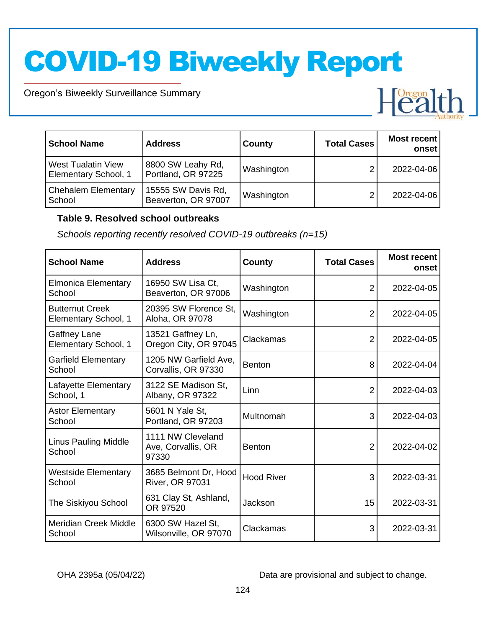Oregon's Biweekly Surveillance Summary

Novel Coronavirus (COVID-19)

| <b>School Name</b>                                | <b>Address</b>                            | County     | <b>Total Cases</b> | Most recent<br>onset |
|---------------------------------------------------|-------------------------------------------|------------|--------------------|----------------------|
| <b>West Tualatin View</b><br>Elementary School, 1 | 8800 SW Leahy Rd,<br>Portland, OR 97225   | Washington |                    | 2022-04-06           |
| <b>Chehalem Elementary</b><br>School              | 15555 SW Davis Rd,<br>Beaverton, OR 97007 | Washington |                    | 2022-04-06           |

#### **Table 9. Resolved school outbreaks**

*Schools reporting recently resolved COVID-19 outbreaks (n=15)*

| <b>School Name</b>                             | <b>Address</b>                                   | County            | <b>Total Cases</b> | <b>Most recent</b><br>onset |
|------------------------------------------------|--------------------------------------------------|-------------------|--------------------|-----------------------------|
| Elmonica Elementary<br>School                  | 16950 SW Lisa Ct,<br>Beaverton, OR 97006         | Washington        | 2                  | 2022-04-05                  |
| <b>Butternut Creek</b><br>Elementary School, 1 | 20395 SW Florence St,<br>Aloha, OR 97078         | Washington        | 2                  | 2022-04-05                  |
| Gaffney Lane<br>Elementary School, 1           | 13521 Gaffney Ln,<br>Oregon City, OR 97045       | Clackamas         | 2                  | 2022-04-05                  |
| <b>Garfield Elementary</b><br>School           | 1205 NW Garfield Ave,<br>Corvallis, OR 97330     | <b>Benton</b>     | 8                  | 2022-04-04                  |
| Lafayette Elementary<br>School, 1              | 3122 SE Madison St,<br>Albany, OR 97322          | Linn              | 2                  | 2022-04-03                  |
| <b>Astor Elementary</b><br>School              | 5601 N Yale St,<br>Portland, OR 97203            | Multnomah         | 3                  | 2022-04-03                  |
| <b>Linus Pauling Middle</b><br>School          | 1111 NW Cleveland<br>Ave, Corvallis, OR<br>97330 | <b>Benton</b>     | 2                  | 2022-04-02                  |
| Westside Elementary<br>School                  | 3685 Belmont Dr, Hood<br><b>River, OR 97031</b>  | <b>Hood River</b> | 3                  | 2022-03-31                  |
| The Siskiyou School                            | 631 Clay St, Ashland,<br>OR 97520                | Jackson           | 15                 | 2022-03-31                  |
| <b>Meridian Creek Middle</b><br>School         | 6300 SW Hazel St,<br>Wilsonville, OR 97070       | Clackamas         | 3                  | 2022-03-31                  |

OHA 2395a (05/04/22) Data are provisional and subject to change.